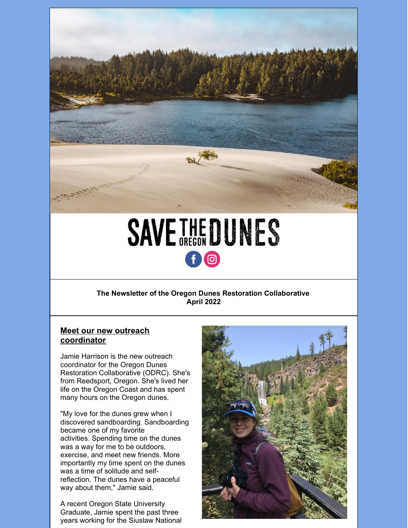

# **SAVETHEDUNES** 10

## **The Newsletter of the Oregon Dunes Restoration Collaborative April 2022**

# **Meet our new outreach coordinator**

Jamie Harrison is the new outreach coordinator for the Oregon Dunes Restoration Collaborative (ODRC). She's from Reedsport, Oregon. She's lived her life on the Oregon Coast and has spent many hours on the Oregon dunes.

"My love for the dunes grew when I discovered sandboarding. Sandboarding became one of my favorite activities. Spending time on the dunes was a way for me to be outdoors, exercise, and meet new friends. More importantly my time spent on the dunes was a time of solitude and selfreflection. The dunes have a peaceful way about them," Jamie said.

A recent Oregon State University Graduate, Jamie spent the past three years working for the Siuslaw National

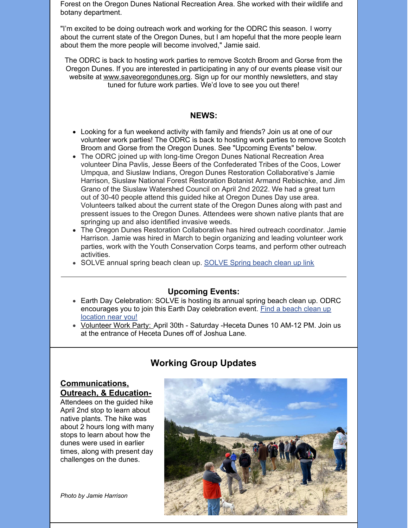Forest on the Oregon Dunes National Recreation Area. She worked with their wildlife and botany department.

"I'm excited to be doing outreach work and working for the ODRC this season. I worry about the current state of the Oregon Dunes, but I am hopeful that the more people learn about them the more people will become involved," Jamie said.

The ODRC is back to hosting work parties to remove Scotch Broom and Gorse from the Oregon Dunes. If you are interested in participating in any of our events please visit our website at [www.saveoregondunes.org](http://www.saveoregondunes.org). Sign up for our monthly newsletters, and stay tuned for future work parties. We'd love to see you out there!

#### **NEWS:**

- Looking for a fun weekend activity with family and friends? Join us at one of our volunteer work parties! The ODRC is back to hosting work parties to remove Scotch Broom and Gorse from the Oregon Dunes. See "Upcoming Events" below.
- The ODRC joined up with long-time Oregon Dunes National Recreation Area volunteer Dina Pavlis, Jesse Beers of the Confederated Tribes of the Coos, Lower Umpqua, and Siuslaw Indians, Oregon Dunes Restoration Collaborative's Jamie Harrison, Siuslaw National Forest Restoration Botanist Armand Rebischke, and Jim Grano of the Siuslaw Watershed Council on April 2nd 2022. We had a great turn out of 30-40 people attend this guided hike at Oregon Dunes Day use area. Volunteers talked about the current state of the Oregon Dunes along with past and pressent issues to the Oregon Dunes. Attendees were shown native plants that are springing up and also identified invasive weeds.
- The Oregon Dunes Restoration Collaborative has hired outreach coordinator. Jamie Harrison. Jamie was hired in March to begin organizing and leading volunteer work parties, work with the Youth Conservation Corps teams, and perform other outreach activities.
- [SOLVE](https://www.solveoregon.org/spring-cleanup) annual spring beach clean up. SOLVE Spring beach clean up link

#### **Upcoming Events:**

- Earth Day Celebration: SOLVE is hosting its annual spring beach clean up. ODRC [encourages](https://www.solveoregon.org/spring-cleanup) you to join this Earth Day celebration event. Find a beach clean up location near you!
- [Volunteer](https://www.saveoregondunes.org/event/scotch-broom-and-gorse-removal-at-heceta-dunes-saturday-august-8/) Work Party: April 30th Saturday Heceta Dunes 10 AM-12 PM. Join us at the entrance of Heceta Dunes off of Joshua Lane.

# **Working Group Updates**

## **Communications, Outreach, & Education-**

Attendees on the guided hike April 2nd stop to learn about native plants. The hike was about 2 hours long with many stops to learn about how the dunes were used in earlier times, along with present day challenges on the dunes.

*Photo by Jamie Harrison*

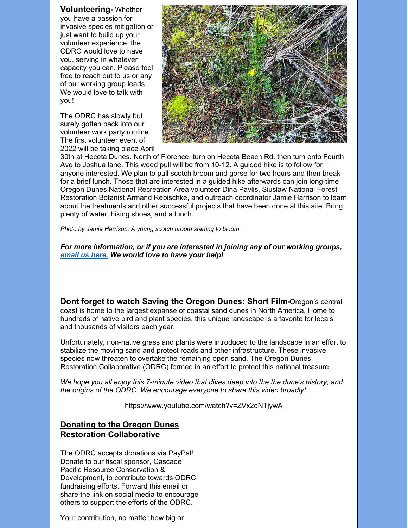**Volunteering-** Whether you have a passion for invasive species mitigation or just want to build up your volunteer experience, the ODRC would love to have you, serving in whatever capacity you can. Please feel free to reach out to us or any of our working group leads. We would love to talk with you!

The ODRC has slowly but surely gotten back into our volunteer work party routine. The first volunteer event of 2022 will be taking place April



30th at Heceta Dunes. North of Florence, turn on Heceta Beach Rd. then turn onto Fourth Ave to Joshua lane. This weed pull will be from 10-12. A guided hike is to follow for anyone interested. We plan to pull scotch broom and gorse for two hours and then break for a brief lunch. Those that are interested in a guided hike afterwards can join long-time Oregon Dunes National Recreation Area volunteer Dina Pavlis, Siuslaw National Forest Restoration Botanist Armand Rebischke, and outreach coordinator Jamie Harrison to learn about the treatments and other successful projects that have been done at this site. Bring plenty of water, hiking shoes, and a lunch.

*Photo by Jamie Harrison: A young scotch broom starting to bloom.*

*For more information, or if you are interested in joining any of our working groups, [email](mailto:saveoregondunes@gmail.com) us here. We would love to have your help!*

**Dont forget to watch Saving the [Oregon](https://www.youtube.com/watch?v=ZVx2dNTjywA) Dunes: Short Film-**Oregon's central coast is home to the largest expanse of coastal sand dunes in North America. Home to hundreds of native bird and plant species, this unique landscape is a favorite for locals and thousands of visitors each year.

Unfortunately, non-native grass and plants were introduced to the landscape in an effort to stabilize the moving sand and protect roads and other infrastructure. These invasive species now threaten to overtake the remaining open sand. The Oregon Dunes Restoration Collaborative (ODRC) formed in an effort to protect this national treasure.

*We hope you all enjoy this 7-minute video that dives deep into the the dune's history, and the origins of the ODRC. We encourage everyone to share this video broadly!*

<https://www.youtube.com/watch?v=ZVx2dNTjywA>

# **Donating to the Oregon Dunes Restoration Collaborative**

The ODRC accepts donations via PayPal! Donate to our fiscal sponsor, Cascade Pacific Resource Conservation & Development, to contribute towards ODRC fundraising efforts. Forward this email or share the link on social media to encourage others to support the efforts of the ODRC.

Your contribution, no matter how big or